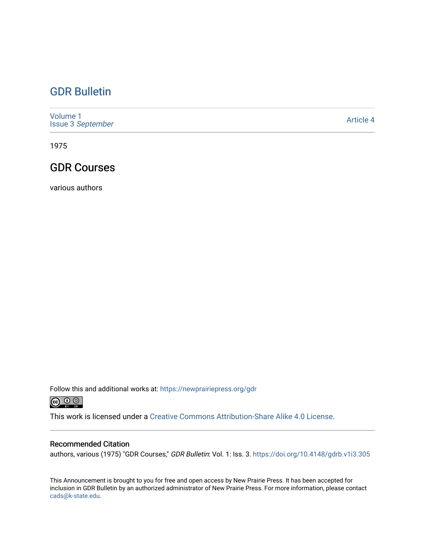### [GDR Bulletin](https://newprairiepress.org/gdr)

[Volume 1](https://newprairiepress.org/gdr/vol1) Issue 3 [September](https://newprairiepress.org/gdr/vol1/iss3)

[Article 4](https://newprairiepress.org/gdr/vol1/iss3/4) 

1975

### GDR Courses

various authors

Follow this and additional works at: [https://newprairiepress.org/gdr](https://newprairiepress.org/gdr?utm_source=newprairiepress.org%2Fgdr%2Fvol1%2Fiss3%2F4&utm_medium=PDF&utm_campaign=PDFCoverPages) 



This work is licensed under a [Creative Commons Attribution-Share Alike 4.0 License.](https://creativecommons.org/licenses/by-sa/4.0/)

### Recommended Citation

authors, various (1975) "GDR Courses," GDR Bulletin: Vol. 1: Iss. 3. <https://doi.org/10.4148/gdrb.v1i3.305>

This Announcement is brought to you for free and open access by New Prairie Press. It has been accepted for inclusion in GDR Bulletin by an authorized administrator of New Prairie Press. For more information, please contact [cads@k-state.edu.](mailto:cads@k-state.edu)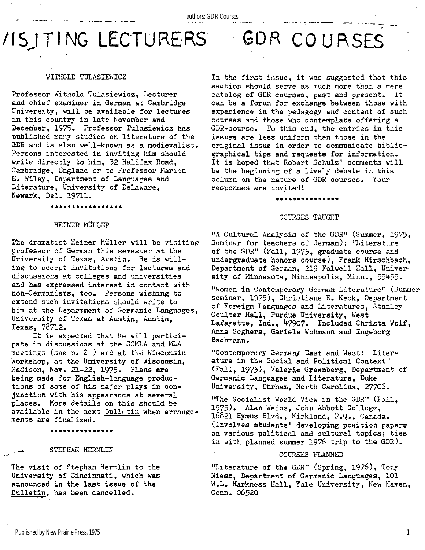# **VISITING LECTURERS GDR COURSES**

### WITHCLD TULASIEWICZ

Professor Withold Tulasiewicz, Lecturer and chief examiner in German at Cambridge University, will be available for lectures in this country in late November and December, 1975. Professor Tulasiewicz has published many studies on literature of the GDR and is also well-known as a medievalist. Persons interested in inviting him should write directly to him, 32 Halifax Road, Cambridge, England or to Frofessor Marion E. Wiley, Department of Languages and Literature, University of Delaware, Newark, Del. 19711.

In the first issue, it was suggested that this section should serve as much more than a mere catalog of GDR courses, past and present. It can be a forum for exchange between those with experience in the pedagogy and content of such courses and those who contemplate offering a GDR-course. To this end, the entries in this issues are less uniform than those in the original issue in order to communicate bibliographical tips and requests for information. It is hoped that Robert Schulz' comments will be the beginning of a lively debate in this column on the nature of GDR courses. Your responses are invited!

## **\*\*\*\*\*\*\*\*\*\*\*\*\*\* \***  COURSES TAUGHT

### "A Cultural Analysis of the GDR" (Summer, 1975, Seminar for teachers of German); "Literature of the GDR" (Fall, 1975, graduate course and undergraduate honors course), Frank Hirschbach, Department of German, 219 Folwell Hall, University of Minnesota, Minneapolis, Minn., 55455.

"Women in Contemporary German Literature" (Summer seminar, 1975), Christiane E. Keck, Department of Foreign Languages and Literatures, Stanley Coulter Hall, Purdue University, West Lafayette, Ind., 47907. Included Christa Wolf, Anna Seghers, Gariele Wohmann and Ingeborg Bachmann.

"Contemporary Germany East and West: Literature in the Social and Political Context" (Fall, 1975), Valerie Greenberg, Department of Germanic Languages and Literature, Duke University, Durham, North Carolina, 27706.

"The Socialist World View in the GDR" (Fall, 1975). Alan Weiss, John Abbott College, 16821 Hymus Blvd., Kirkland, P.Q., Canada. (Involves students' developing position papers on various political and cultural topics; ties in with planned summer  $1976$  trip to the GDR).

### COURSES PLANNED

"Literature of the GDR" (Spring,  $1976$ ), Tony Niesz, Department of Germanic Languages, 101 W.L. Harkness Hall, Yale University, New Haven, Conn. 06520

#### **\*\*\*\*\*\*\*\*\*\*\*\*\*\*\*\* \***

### HEINER MULLER

The dramatist Heiner Müller will be visiting professor of German this semester at the University of Texas, Austin. He is willing to accept invitations for lectures and discussions at colleges and universities and has expressed interest in contact with non-Germanists, too. Persons wishing to extend such invitations should write to him at the Department of Germanic Languages, University of Texas at Austin, Austin, Texas, 78712.

It is expected that he will participate in discussions at the SCMLA and MLA meetings (see p. 2 ) and at the Wisconsin Workshop, at the University of Wisconsin, Madison, Nov. 21-22, 1975- Plans are being made for English-language productions of some of his major plays in conjunction with his appearance at several places. More details on this should be available in the next Bulletin when arrangements are finalized .

**\*\*\*\*\*\*\*\*\*\*\*\*\*\* \*** 

#### STEPHAN HERMLIN

The visit of Stephan Hermlin to the University of Cincinnati, which was announced in the last issue of the Bulletin, has been cancelled.